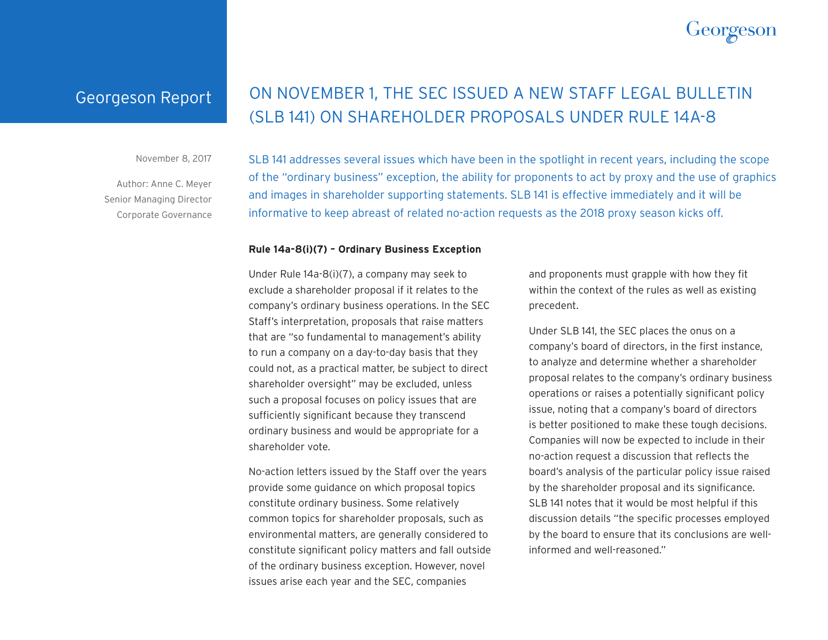# **Georgesor**

### Georgeson Report

## ON NOVEMBER 1, THE SEC ISSUED A NEW STAFF LEGAL BULLETIN (SLB 141) ON SHAREHOLDER PROPOSALS UNDER RULE 14A-8

November 8, 2017

Author: Anne C. Meyer Senior Managing Director Corporate Governance SLB 141 addresses several issues which have been in the spotlight in recent years, including the scope of the "ordinary business" exception, the ability for proponents to act by proxy and the use of graphics and images in shareholder supporting statements. SLB 141 is effective immediately and it will be informative to keep abreast of related no-action requests as the 2018 proxy season kicks off.

#### **Rule 14a-8(i)(7) – Ordinary Business Exception**

Under Rule 14a-8(i)(7), a company may seek to exclude a shareholder proposal if it relates to the company's ordinary business operations. In the SEC Staff's interpretation, proposals that raise matters that are "so fundamental to management's ability to run a company on a day-to-day basis that they could not, as a practical matter, be subject to direct shareholder oversight" may be excluded, unless such a proposal focuses on policy issues that are sufficiently significant because they transcend ordinary business and would be appropriate for a shareholder vote.

No-action letters issued by the Staff over the years provide some guidance on which proposal topics constitute ordinary business. Some relatively common topics for shareholder proposals, such as environmental matters, are generally considered to constitute significant policy matters and fall outside of the ordinary business exception. However, novel issues arise each year and the SEC, companies

and proponents must grapple with how they fit within the context of the rules as well as existing precedent.

Under SLB 141, the SEC places the onus on a company's board of directors, in the first instance, to analyze and determine whether a shareholder proposal relates to the company's ordinary business operations or raises a potentially significant policy issue, noting that a company's board of directors is better positioned to make these tough decisions. Companies will now be expected to include in their no-action request a discussion that reflects the board's analysis of the particular policy issue raised by the shareholder proposal and its significance. SLB 141 notes that it would be most helpful if this discussion details "the specific processes employed by the board to ensure that its conclusions are wellinformed and well-reasoned."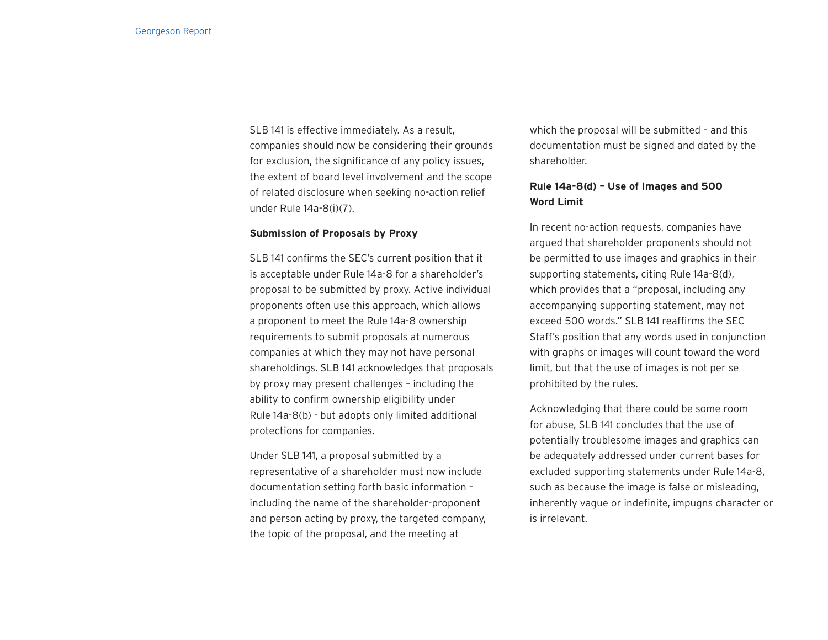SLB 141 is effective immediately. As a result, companies should now be considering their grounds for exclusion, the significance of any policy issues, the extent of board level involvement and the scope of related disclosure when seeking no-action relief under Rule 14a-8(i)(7).

#### **Submission of Proposals by Proxy**

SLB 141 confirms the SEC's current position that it is acceptable under Rule 14a-8 for a shareholder's proposal to be submitted by proxy. Active individual proponents often use this approach, which allows a proponent to meet the Rule 14a-8 ownership requirements to submit proposals at numerous companies at which they may not have personal shareholdings. SLB 141 acknowledges that proposals by proxy may present challenges – including the ability to confirm ownership eligibility under Rule 14a-8(b) - but adopts only limited additional protections for companies.

Under SLB 141, a proposal submitted by a representative of a shareholder must now include documentation setting forth basic information – including the name of the shareholder-proponent and person acting by proxy, the targeted company, the topic of the proposal, and the meeting at

which the proposal will be submitted - and this documentation must be signed and dated by the shareholder.

#### **Rule 14a-8(d) – Use of Images and 500 Word Limit**

In recent no-action requests, companies have argued that shareholder proponents should not be permitted to use images and graphics in their supporting statements, citing Rule 14a-8(d), which provides that a "proposal, including any accompanying supporting statement, may not exceed 500 words." SLB 141 reaffirms the SEC Staff's position that any words used in conjunction with graphs or images will count toward the word limit, but that the use of images is not per se prohibited by the rules.

Acknowledging that there could be some room for abuse, SLB 141 concludes that the use of potentially troublesome images and graphics can be adequately addressed under current bases for excluded supporting statements under Rule 14a-8, such as because the image is false or misleading, inherently vague or indefinite, impugns character or is irrelevant.